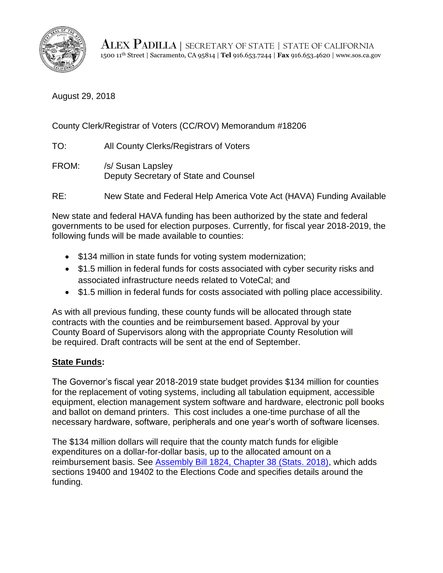

ALEX PADILLA | SECRETARY OF STATE | STATE OF CALIFORNIA 1500 11th Street | Sacramento, CA 95814 | **Tel** 916.653.7244 | **Fax** 916.653.4620 | www.sos.ca.gov

August 29, 2018

County Clerk/Registrar of Voters (CC/ROV) Memorandum #18206

TO: All County Clerks/Registrars of Voters

- FROM: /s/ Susan Lapsley Deputy Secretary of State and Counsel
- RE: New State and Federal Help America Vote Act (HAVA) Funding Available

New state and federal HAVA funding has been authorized by the state and federal governments to be used for election purposes. Currently, for fiscal year 2018-2019, the following funds will be made available to counties:

- \$134 million in state funds for voting system modernization;
- \$1.5 million in federal funds for costs associated with cyber security risks and associated infrastructure needs related to VoteCal; and
- \$1.5 million in federal funds for costs associated with polling place accessibility.

As with all previous funding, these county funds will be allocated through state contracts with the counties and be reimbursement based. Approval by your County Board of Supervisors along with the appropriate County Resolution will be required. Draft contracts will be sent at the end of September.

## **State Funds:**

The Governor's fiscal year 2018-2019 state budget provides \$134 million for counties for the replacement of voting systems, including all tabulation equipment, accessible equipment, election management system software and hardware, electronic poll books and ballot on demand printers. This cost includes a one-time purchase of all the necessary hardware, software, peripherals and one year's worth of software licenses.

The \$134 million dollars will require that the county match funds for eligible expenditures on a dollar-for-dollar basis, up to the allocated amount on a reimbursement basis. See [Assembly Bill 1824, Chapter 38 \(Stats. 2018\),](http://leginfo.legislature.ca.gov/faces/billNavClient.xhtml?bill_id=201720180AB1824) which adds sections 19400 and 19402 to the Elections Code and specifies details around the funding.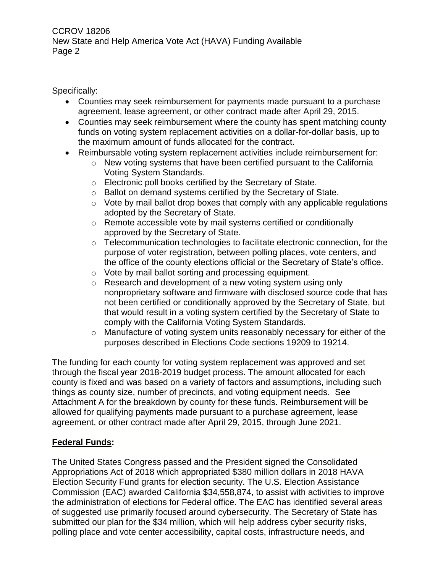Specifically:

- Counties may seek reimbursement for payments made pursuant to a purchase agreement, lease agreement, or other contract made after April 29, 2015.
- Counties may seek reimbursement where the county has spent matching county funds on voting system replacement activities on a dollar-for-dollar basis, up to the maximum amount of funds allocated for the contract.
- Reimbursable voting system replacement activities include reimbursement for:
	- o New voting systems that have been certified pursuant to the California Voting System Standards.
	- o Electronic poll books certified by the Secretary of State.
	- o Ballot on demand systems certified by the Secretary of State.
	- $\circ$  Vote by mail ballot drop boxes that comply with any applicable regulations adopted by the Secretary of State.
	- o Remote accessible vote by mail systems certified or conditionally approved by the Secretary of State.
	- o Telecommunication technologies to facilitate electronic connection, for the purpose of voter registration, between polling places, vote centers, and the office of the county elections official or the Secretary of State's office.
	- o Vote by mail ballot sorting and processing equipment.
	- o Research and development of a new voting system using only nonproprietary software and firmware with disclosed source code that has not been certified or conditionally approved by the Secretary of State, but that would result in a voting system certified by the Secretary of State to comply with the California Voting System Standards.
	- o Manufacture of voting system units reasonably necessary for either of the purposes described in Elections Code sections 19209 to 19214.

The funding for each county for voting system replacement was approved and set through the fiscal year 2018-2019 budget process. The amount allocated for each county is fixed and was based on a variety of factors and assumptions, including such things as county size, number of precincts, and voting equipment needs. See Attachment A for the breakdown by county for these funds. Reimbursement will be allowed for qualifying payments made pursuant to a purchase agreement, lease agreement, or other contract made after April 29, 2015, through June 2021.

# **Federal Funds:**

The United States Congress passed and the President signed the Consolidated Appropriations Act of 2018 which appropriated \$380 million dollars in 2018 HAVA Election Security Fund grants for election security. The U.S. Election Assistance Commission (EAC) awarded California \$34,558,874, to assist with activities to improve the administration of elections for Federal office. The EAC has identified several areas of suggested use primarily focused around cybersecurity. The Secretary of State has submitted our plan for the \$34 million, which will help address cyber security risks, polling place and vote center accessibility, capital costs, infrastructure needs, and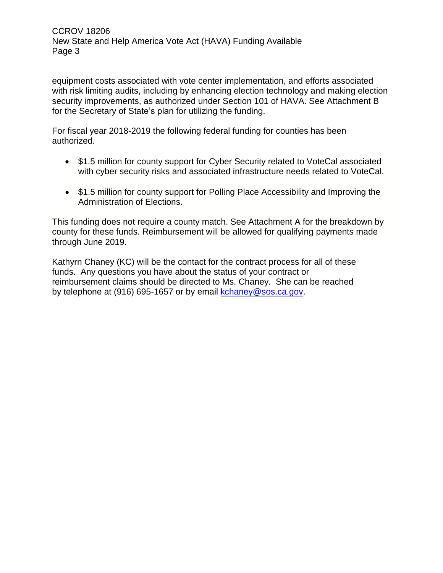equipment costs associated with vote center implementation, and efforts associated with risk limiting audits, including by enhancing election technology and making election security improvements, as authorized under Section 101 of HAVA. See Attachment B for the Secretary of State's plan for utilizing the funding.

For fiscal year 2018-2019 the following federal funding for counties has been authorized.

- \$1.5 million for county support for Cyber Security related to VoteCal associated with cyber security risks and associated infrastructure needs related to VoteCal.
- \$1.5 million for county support for Polling Place Accessibility and Improving the Administration of Elections.

This funding does not require a county match. See Attachment A for the breakdown by county for these funds. Reimbursement will be allowed for qualifying payments made through June 2019.

Kathyrn Chaney (KC) will be the contact for the contract process for all of these funds. Any questions you have about the status of your contract or reimbursement claims should be directed to Ms. Chaney. She can be reached by telephone at (916) 695-1657 or by email [kchaney@sos.ca.gov.](mailto:kchaney@sos.ca.gov)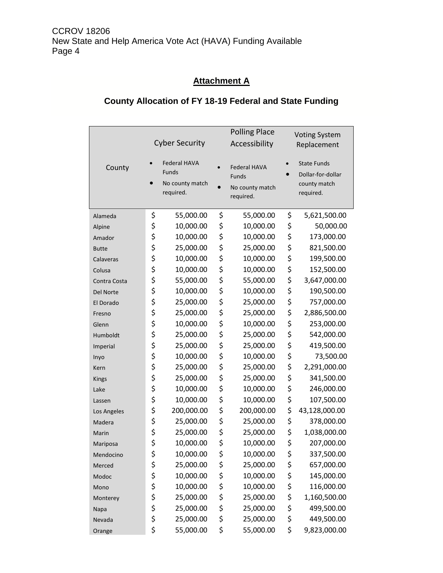# **Attachment A**

# **County Allocation of FY 18-19 Federal and State Funding**

|              | <b>Cyber Security</b> |                                                              | <b>Polling Place</b><br>Accessibility                        | <b>Voting System</b><br>Replacement |                                                                      |
|--------------|-----------------------|--------------------------------------------------------------|--------------------------------------------------------------|-------------------------------------|----------------------------------------------------------------------|
| County       | $\bullet$             | <b>Federal HAVA</b><br>Funds<br>No county match<br>required. | <b>Federal HAVA</b><br>Funds<br>No county match<br>required. |                                     | <b>State Funds</b><br>Dollar-for-dollar<br>county match<br>required. |
| Alameda      | \$                    | 55,000.00                                                    | \$<br>55,000.00                                              | \$                                  | 5,621,500.00                                                         |
| Alpine       | \$                    | 10,000.00                                                    | \$<br>10,000.00                                              | \$                                  | 50,000.00                                                            |
| Amador       | \$                    | 10,000.00                                                    | \$<br>10,000.00                                              | \$                                  | 173,000.00                                                           |
| <b>Butte</b> | \$                    | 25,000.00                                                    | \$<br>25,000.00                                              | \$                                  | 821,500.00                                                           |
| Calaveras    | \$                    | 10,000.00                                                    | \$<br>10,000.00                                              | \$                                  | 199,500.00                                                           |
| Colusa       | \$                    | 10,000.00                                                    | \$<br>10,000.00                                              | \$                                  | 152,500.00                                                           |
| Contra Costa | \$                    | 55,000.00                                                    | \$<br>55,000.00                                              | \$                                  | 3,647,000.00                                                         |
| Del Norte    | \$                    | 10,000.00                                                    | \$<br>10,000.00                                              | \$                                  | 190,500.00                                                           |
| El Dorado    | \$                    | 25,000.00                                                    | \$<br>25,000.00                                              | \$                                  | 757,000.00                                                           |
| Fresno       | \$                    | 25,000.00                                                    | \$<br>25,000.00                                              | \$                                  | 2,886,500.00                                                         |
| Glenn        | \$                    | 10,000.00                                                    | \$<br>10,000.00                                              | \$                                  | 253,000.00                                                           |
| Humboldt     | \$                    | 25,000.00                                                    | \$<br>25,000.00                                              | \$                                  | 542,000.00                                                           |
| Imperial     | \$                    | 25,000.00                                                    | \$<br>25,000.00                                              | \$                                  | 419,500.00                                                           |
| Inyo         | \$                    | 10,000.00                                                    | \$<br>10,000.00                                              | \$                                  | 73,500.00                                                            |
| Kern         | \$                    | 25,000.00                                                    | \$<br>25,000.00                                              | \$                                  | 2,291,000.00                                                         |
| <b>Kings</b> | \$                    | 25,000.00                                                    | \$<br>25,000.00                                              | \$                                  | 341,500.00                                                           |
| Lake         | \$                    | 10,000.00                                                    | \$<br>10,000.00                                              | \$                                  | 246,000.00                                                           |
| Lassen       | \$                    | 10,000.00                                                    | \$<br>10,000.00                                              | \$                                  | 107,500.00                                                           |
| Los Angeles  | \$                    | 200,000.00                                                   | \$<br>200,000.00                                             | \$                                  | 43,128,000.00                                                        |
| Madera       | \$                    | 25,000.00                                                    | \$<br>25,000.00                                              | \$                                  | 378,000.00                                                           |
| Marin        | \$                    | 25,000.00                                                    | \$<br>25,000.00                                              | \$                                  | 1,038,000.00                                                         |
| Mariposa     | \$                    | 10,000.00                                                    | \$<br>10,000.00                                              | \$                                  | 207,000.00                                                           |
| Mendocino    | \$                    | 10,000.00                                                    | \$<br>10,000.00                                              | \$                                  | 337,500.00                                                           |
| Merced       | \$                    | 25,000.00                                                    | \$<br>25,000.00                                              | \$                                  | 657,000.00                                                           |
| Modoc        | \$                    | 10,000.00                                                    | \$<br>10,000.00                                              | \$                                  | 145,000.00                                                           |
| Mono         | \$                    | 10,000.00                                                    | \$<br>10,000.00                                              | \$                                  | 116,000.00                                                           |
| Monterey     | \$                    | 25,000.00                                                    | \$<br>25,000.00                                              | \$                                  | 1,160,500.00                                                         |
| Napa         | \$                    | 25,000.00                                                    | \$<br>25,000.00                                              | \$                                  | 499,500.00                                                           |
| Nevada       | \$                    | 25,000.00                                                    | \$<br>25,000.00                                              | \$                                  | 449,500.00                                                           |
| Orange       | \$                    | 55,000.00                                                    | \$<br>55,000.00                                              | \$                                  | 9,823,000.00                                                         |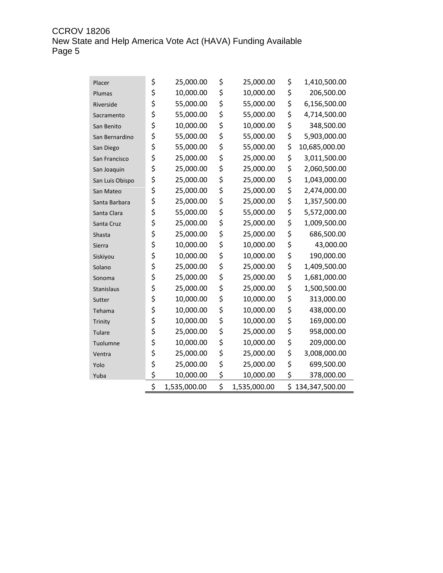CCROV 18206 New State and Help America Vote Act (HAVA) Funding Available<br>Page 5

| Placer          | \$<br>25,000.00    | \$<br>25,000.00    | \$<br>1,410,500.00   |
|-----------------|--------------------|--------------------|----------------------|
| Plumas          | \$<br>10,000.00    | \$<br>10,000.00    | \$<br>206,500.00     |
| Riverside       | \$<br>55,000.00    | \$<br>55,000.00    | \$<br>6,156,500.00   |
| Sacramento      | \$<br>55,000.00    | \$<br>55,000.00    | \$<br>4,714,500.00   |
| San Benito      | \$<br>10,000.00    | \$<br>10,000.00    | \$<br>348,500.00     |
| San Bernardino  | \$<br>55,000.00    | \$<br>55,000.00    | \$<br>5,903,000.00   |
| San Diego       | \$<br>55,000.00    | \$<br>55,000.00    | \$<br>10,685,000.00  |
| San Francisco   | \$<br>25,000.00    | \$<br>25,000.00    | \$<br>3,011,500.00   |
| San Joaquin     | \$<br>25,000.00    | \$<br>25,000.00    | \$<br>2,060,500.00   |
| San Luis Obispo | \$<br>25,000.00    | \$<br>25,000.00    | \$<br>1,043,000.00   |
| San Mateo       | \$<br>25,000.00    | \$<br>25,000.00    | \$<br>2,474,000.00   |
| Santa Barbara   | \$<br>25,000.00    | \$<br>25,000.00    | \$<br>1,357,500.00   |
| Santa Clara     | \$<br>55,000.00    | \$<br>55,000.00    | \$<br>5,572,000.00   |
| Santa Cruz      | \$<br>25,000.00    | \$<br>25,000.00    | \$<br>1,009,500.00   |
| Shasta          | \$<br>25,000.00    | \$<br>25,000.00    | \$<br>686,500.00     |
| Sierra          | \$<br>10,000.00    | \$<br>10,000.00    | \$<br>43,000.00      |
| Siskiyou        | \$<br>10,000.00    | \$<br>10,000.00    | \$<br>190,000.00     |
| Solano          | \$<br>25,000.00    | \$<br>25,000.00    | \$<br>1,409,500.00   |
| Sonoma          | \$<br>25,000.00    | \$<br>25,000.00    | \$<br>1,681,000.00   |
| Stanislaus      | \$<br>25,000.00    | \$<br>25,000.00    | \$<br>1,500,500.00   |
| Sutter          | \$<br>10,000.00    | \$<br>10,000.00    | \$<br>313,000.00     |
| Tehama          | \$<br>10,000.00    | \$<br>10,000.00    | \$<br>438,000.00     |
| Trinity         | \$<br>10,000.00    | \$<br>10,000.00    | \$<br>169,000.00     |
| Tulare          | \$<br>25,000.00    | \$<br>25,000.00    | \$<br>958,000.00     |
| Tuolumne        | \$<br>10,000.00    | \$<br>10,000.00    | \$<br>209,000.00     |
| Ventra          | \$<br>25,000.00    | \$<br>25,000.00    | \$<br>3,008,000.00   |
| Yolo            | \$<br>25,000.00    | \$<br>25,000.00    | \$<br>699,500.00     |
| Yuba            | \$<br>10,000.00    | \$<br>10,000.00    | \$<br>378,000.00     |
|                 | \$<br>1,535,000.00 | \$<br>1,535,000.00 | \$<br>134,347,500.00 |